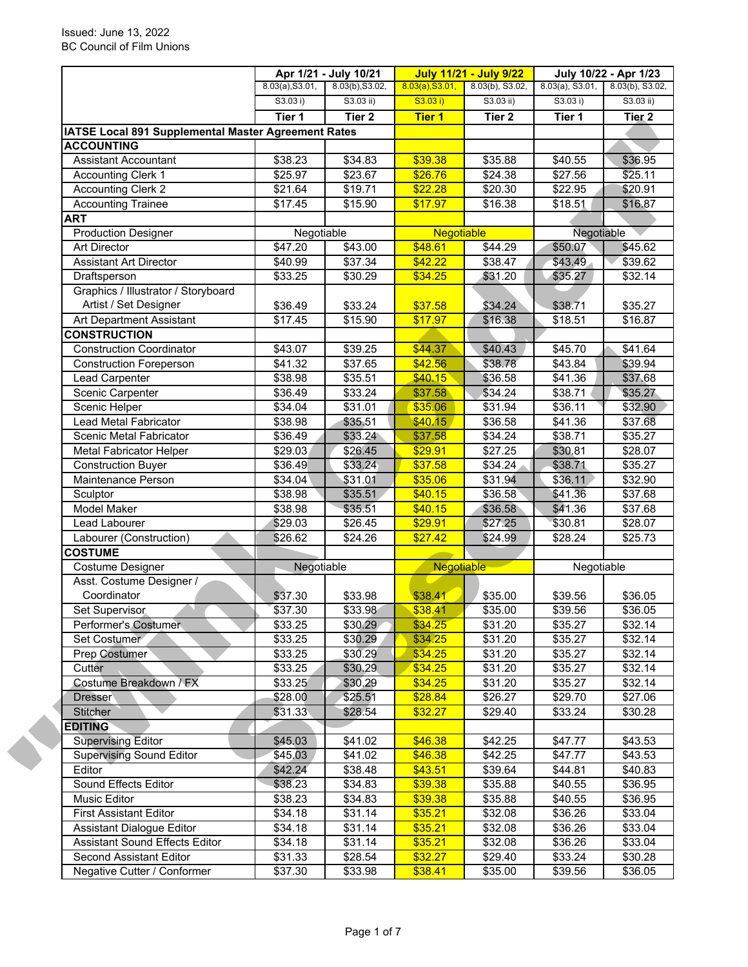|                                                     | 8.03(a), S3.01, | 8.03(b), S3.02,   | 8.03(a), S3.01,   | 8.03(b), S3.02, | $8.03(a)$ , S3.01,  | 8.03(b), S3.02,   |
|-----------------------------------------------------|-----------------|-------------------|-------------------|-----------------|---------------------|-------------------|
|                                                     | S3.03 i)        | $S3.03$ ii)       | S3.03 i)          | $S3.03$ ii)     | S3.03 i)            | S3.03 ii)         |
|                                                     | Tier 1          | Tier <sub>2</sub> | <b>Tier 1</b>     | Tier 2          | Tier 1              | Tier <sub>2</sub> |
| IATSE Local 891 Supplemental Master Agreement Rates |                 |                   |                   |                 |                     |                   |
| <b>ACCOUNTING</b>                                   |                 |                   |                   |                 |                     |                   |
| <b>Assistant Accountant</b>                         | \$38.23         | \$34.83           | \$39.38           | \$35.88         | $\overline{$40.55}$ | \$36.95           |
| <b>Accounting Clerk 1</b>                           | \$25.97         | \$23.67           | \$26.76           | \$24.38         | \$27.56             | \$25.11           |
| <b>Accounting Clerk 2</b>                           | \$21.64         | \$19.71           | \$22.28           | \$20.30         | \$22.95             | \$20.91           |
| <b>Accounting Trainee</b>                           | \$17.45         | \$15.90           | \$17.97           | \$16.38         | \$18.51             | \$16.87           |
| <b>ART</b>                                          |                 |                   |                   |                 |                     |                   |
| <b>Production Designer</b>                          | Negotiable      |                   | <b>Negotiable</b> |                 | Negotiable          |                   |
| Art Director                                        | \$47.20         | \$43.00           | \$48.61           | \$44.29         | \$50.07             | \$45.62           |
| <b>Assistant Art Director</b>                       | \$40.99         | \$37.34           | \$42.22           | \$38.47         | \$43.49             | \$39.62           |
| Draftsperson                                        | \$33.25         | \$30.29           | \$34.25           | \$31.20         | \$35.27             | \$32.14           |
| Graphics / Illustrator / Storyboard                 |                 |                   |                   |                 |                     |                   |
| Artist / Set Designer                               | \$36.49         | \$33.24           | \$37.58           | \$34.24         | \$38.71             | \$35.27           |
| Art Department Assistant                            | \$17.45         | \$15.90           | \$17.97           | \$16.38         | \$18.51             | \$16.87           |
| <b>CONSTRUCTION</b>                                 |                 |                   |                   |                 |                     |                   |
| <b>Construction Coordinator</b>                     | \$43.07         | \$39.25           | \$44.37           | \$40.43         | \$45.70             | \$41.64           |
| <b>Construction Foreperson</b>                      | \$41.32         | \$37.65           | \$42.56           | \$38.78         | \$43.84             | \$39.94           |
| Lead Carpenter                                      | \$38.98         | \$35.51           | \$40.15           | \$36.58         | \$41.36             | \$37.68           |
| Scenic Carpenter                                    | \$36.49         | \$33.24           | \$37.58           | \$34.24         | \$38.71             | \$35.27           |
| Scenic Helper                                       | \$34.04         | \$31.01           | \$35.06           | \$31.94         | \$36.11             | \$32.90           |
| Lead Metal Fabricator                               | \$38.98         | \$35.51           | \$40.15           | \$36.58         | \$41.36             | \$37.68           |
| Scenic Metal Fabricator                             | \$36.49         | \$33.24           | \$37.58           | \$34.24         | \$38.71             | \$35.27           |
| <b>Metal Fabricator Helper</b>                      | \$29.03         | \$26.45           | \$29.91           | \$27.25         | \$30.81             | \$28.07           |
| <b>Construction Buyer</b>                           | \$36.49         | \$33.24           | \$37.58           | \$34.24         | \$38.71             | \$35.27           |
| Maintenance Person                                  | \$34.04         | \$31.01           | \$35.06           | \$31.94         | \$36.11             | \$32.90           |
| Sculptor                                            | \$38.98         | \$35.51           | \$40.15           | \$36.58         | \$41.36             | \$37.68           |
| <b>Model Maker</b>                                  | \$38.98         | \$35.51           | \$40.15           | \$36.58         | \$41.36             | \$37.68           |
| Lead Labourer                                       | \$29.03         | \$26.45           | \$29.91           | \$27.25         | \$30.81             | \$28.07           |
| Labourer (Construction)                             | \$26.62         | \$24.26           | \$27.42           | \$24.99         | \$28.24             | \$25.73           |
| <b>COSTUME</b>                                      |                 |                   |                   |                 |                     |                   |
| Costume Designer                                    | Negotiable      |                   | <b>Negotiable</b> |                 | Negotiable          |                   |
| Asst. Costume Designer /                            |                 |                   |                   |                 |                     |                   |
| Coordinator                                         | \$37.30         | \$33.98           | \$38.41           | \$35.00         | \$39.56             | \$36.05           |
| Set Supervisor                                      | \$37.30         | \$33.98           | \$38.41           | \$35.00         | \$39.56             | \$36.05           |
| Performer's Costumer                                | \$33.25         | \$30.29           | \$34.25           | \$31.20         | \$35.27             | \$32.14           |
| Set Costumer                                        | \$33.25         | \$30.29           | \$34.25           | \$31.20         | \$35.27             | \$32.14           |
| Prep Costumer                                       | \$33.25         | \$30.29           | \$34.25           | \$31.20         | \$35.27             | \$32.14           |
| Cutter                                              | \$33.25         | \$30.29           | \$34.25           | \$31.20         | \$35.27             | \$32.14           |
| Costume Breakdown / FX                              | \$33.25         | \$30.29           | \$34.25           | \$31.20         | \$35.27             | \$32.14           |
| <b>Dresser</b>                                      | \$28.00         | \$25.51           | \$28.84           | \$26.27         | \$29.70             | \$27.06           |
| Stitcher                                            | \$31.33         | \$28.54           | \$32.27           | \$29.40         | \$33.24             | \$30.28           |
| <b>EDITING</b>                                      |                 |                   |                   |                 |                     |                   |
| <b>Supervising Editor</b>                           | \$45.03         | \$41.02           | \$46.38           | \$42.25         | \$47.77             | \$43.53           |
| <b>Supervising Sound Editor</b>                     | \$45.03         | \$41.02           | \$46.38           | \$42.25         | \$47.77             | \$43.53           |
| Editor                                              | \$42.24         | \$38.48           | \$43.51           | \$39.64         | \$44.81             | \$40.83           |
| Sound Effects Editor                                | \$38.23         | \$34.83           | \$39.38           | \$35.88         | \$40.55             | \$36.95           |
| Music Editor                                        | \$38.23         | \$34.83           | \$39.38           | \$35.88         | \$40.55             | \$36.95           |
| <b>First Assistant Editor</b>                       | \$34.18         | \$31.14           | \$35.21           | \$32.08         | \$36.26             | \$33.04           |
| Assistant Dialogue Editor                           | \$34.18         | \$31.14           | \$35.21           | \$32.08         | \$36.26             | \$33.04           |
| <b>Assistant Sound Effects Editor</b>               | \$34.18         | \$31.14           | \$35.21           | \$32.08         | \$36.26             | \$33.04           |
| Second Assistant Editor                             | \$31.33         | \$28.54           | \$32.27           | \$29.40         | \$33.24             | \$30.28           |
| Negative Cutter / Conformer                         | \$37.30         | \$33.98           | \$38.41           | \$35.00         | \$39.56             | \$36.05           |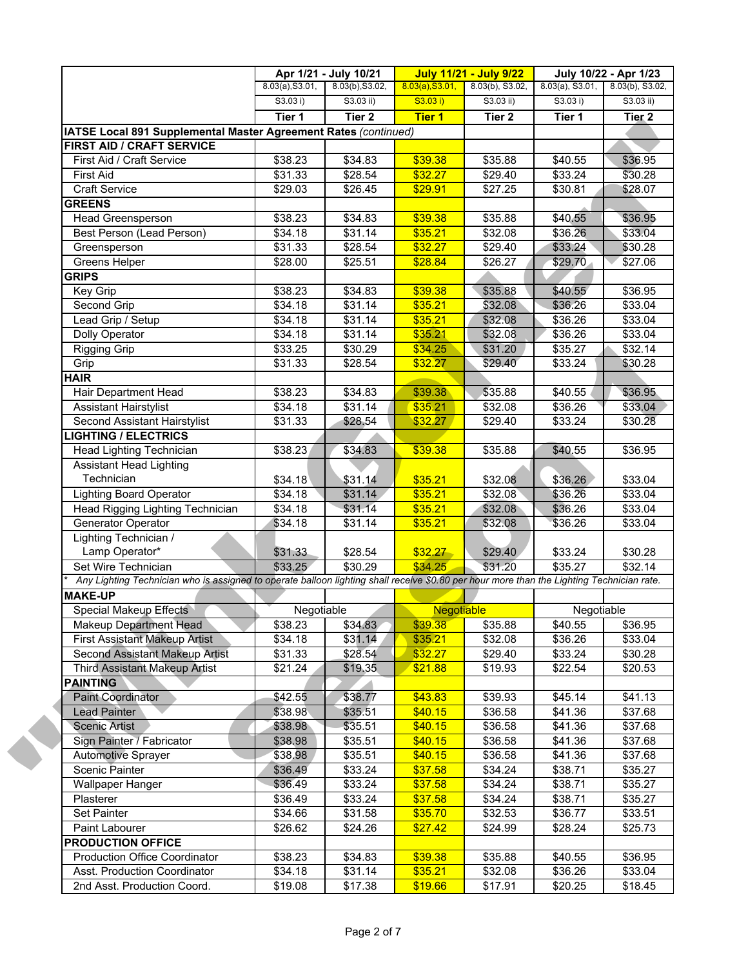|                                                                                                                                           |                    | Apr 1/21 - July 10/21 |                 | <b>July 11/21 - July 9/22</b> | July 10/22 - Apr 1/23 |                   |
|-------------------------------------------------------------------------------------------------------------------------------------------|--------------------|-----------------------|-----------------|-------------------------------|-----------------------|-------------------|
|                                                                                                                                           | 8.03(a), S3.01,    | 8.03(b), S3.02,       | 8.03(a), S3.01, | $8.03(b)$ , S3.02,            | $8.03(a)$ , S3.01,    | 8.03(b), S3.02,   |
|                                                                                                                                           | S3.03 i)           | $S3.03$ ii)           | S3.03 i)        | S3.03 ii)                     | S3.03 i)              | S3.03 ii)         |
|                                                                                                                                           | Tier 1             | Tier <sub>2</sub>     | <b>Tier 1</b>   | Tier 2                        | Tier 1                | Tier <sub>2</sub> |
| IATSE Local 891 Supplemental Master Agreement Rates (continued)                                                                           |                    |                       |                 |                               |                       |                   |
| FIRST AID / CRAFT SERVICE                                                                                                                 |                    |                       |                 |                               |                       |                   |
| First Aid / Craft Service                                                                                                                 | \$38.23            | \$34.83               | \$39.38         | \$35.88                       | \$40.55               | \$36.95           |
| <b>First Aid</b>                                                                                                                          | \$31.33            | \$28.54               | \$32.27         | \$29.40                       | \$33.24               | \$30.28           |
| <b>Craft Service</b>                                                                                                                      | \$29.03            | \$26.45               | \$29.91         | \$27.25                       | \$30.81               | \$28.07           |
| <b>GREENS</b>                                                                                                                             |                    |                       |                 |                               |                       |                   |
| <b>Head Greensperson</b>                                                                                                                  | \$38.23            | \$34.83               | \$39.38         | \$35.88                       | \$40.55               | \$36.95           |
| Best Person (Lead Person)                                                                                                                 | \$34.18            | \$31.14               | \$35.21         | \$32.08                       | \$36.26               | \$33.04           |
| Greensperson                                                                                                                              | \$31.33            | \$28.54               | \$32.27         | \$29.40                       | \$33.24               | \$30.28           |
| Greens Helper                                                                                                                             | \$28.00            | $\overline{$25.51}$   | \$28.84         | \$26.27                       | \$29.70               | \$27.06           |
| <b>GRIPS</b>                                                                                                                              |                    |                       |                 |                               |                       |                   |
| Key Grip                                                                                                                                  | \$38.23            | \$34.83               | \$39.38         | \$35.88                       | \$40.55               | \$36.95           |
| Second Grip                                                                                                                               | \$34.18            | \$31.14               | \$35.21         | \$32.08                       | \$36.26               | \$33.04           |
| Lead Grip / Setup                                                                                                                         | \$34.18            | \$31.14               | \$35.21         | \$32.08                       | \$36.26               | \$33.04           |
| Dolly Operator                                                                                                                            | \$34.18            | \$31.14               | \$35.21         | \$32.08                       | \$36.26               | \$33.04           |
| <b>Rigging Grip</b>                                                                                                                       | \$33.25            | \$30.29               | \$34.25         | \$31.20                       | \$35.27               | \$32.14           |
| Grip                                                                                                                                      | \$31.33            | \$28.54               | \$32.27         | \$29.40                       | \$33.24               | \$30.28           |
| <b>HAIR</b>                                                                                                                               |                    |                       |                 |                               |                       |                   |
| Hair Department Head                                                                                                                      | \$38.23            | \$34.83               | \$39.38         | \$35.88                       | \$40.55               | \$36.95           |
| <b>Assistant Hairstylist</b>                                                                                                              | \$34.18            | \$31.14               | \$35.21         | \$32.08                       | \$36.26               | \$33.04           |
| Second Assistant Hairstylist                                                                                                              | \$31.33            | \$28.54               | \$32.27         | \$29.40                       | \$33.24               | \$30.28           |
| <b>LIGHTING / ELECTRICS</b>                                                                                                               |                    |                       |                 |                               |                       |                   |
| <b>Head Lighting Technician</b>                                                                                                           | \$38.23            | \$34.83               | \$39.38         | \$35.88                       | \$40.55               | \$36.95           |
| <b>Assistant Head Lighting</b>                                                                                                            |                    |                       |                 |                               |                       |                   |
| Technician                                                                                                                                | \$34.18            | \$31.14               | \$35.21         | \$32.08                       | \$36.26               | \$33.04           |
| <b>Lighting Board Operator</b>                                                                                                            | \$34.18            | \$31.14               | \$35.21         | \$32.08                       | \$36.26               | \$33.04           |
| Head Rigging Lighting Technician                                                                                                          | \$34.18            | \$31.14               | \$35.21         | \$32.08                       | \$36.26               | \$33.04           |
| Generator Operator                                                                                                                        | \$34.18            | \$31.14               | \$35.21         | \$32.08                       | \$36.26               | \$33.04           |
| Lighting Technician /                                                                                                                     |                    |                       |                 |                               |                       |                   |
| Lamp Operator*                                                                                                                            | \$31.33            | \$28.54               | \$32.27         | \$29.40                       | \$33.24               | \$30.28           |
| Set Wire Technician                                                                                                                       | \$33.25            | \$30.29               | \$34.25         | \$31.20                       | $\sqrt{$35.27}$       | \$32.14           |
| Any Lighting Technician who is assigned to operate balloon lighting shall receive \$0.80 per hour more than the Lighting Technician rate. |                    |                       |                 |                               |                       |                   |
| <b>MAKE-UP</b>                                                                                                                            |                    |                       |                 |                               |                       |                   |
| <b>Special Makeup Effects</b>                                                                                                             |                    | Negotiable            |                 | Negotiable                    | Negotiable            |                   |
| Makeup Department Head                                                                                                                    | \$38.23            | \$34.83               | \$39.38         | \$35.88                       | \$40.55               | \$36.95           |
| <b>First Assistant Makeup Artist</b>                                                                                                      |                    | \$31.14               | \$35.21         |                               | \$36.26               | \$33.04           |
| Second Assistant Makeup Artist                                                                                                            | \$34.18<br>\$31.33 | \$28.54               | \$32.27         | \$32.08                       | \$33.24               |                   |
|                                                                                                                                           |                    |                       |                 | \$29.40                       |                       | \$30.28           |
| <b>Third Assistant Makeup Artist</b>                                                                                                      | \$21.24            | \$19.35               | \$21.88         | \$19.93                       | \$22.54               | \$20.53           |
| <b>PAINTING</b>                                                                                                                           |                    |                       |                 |                               |                       |                   |
| Paint Coordinator                                                                                                                         | \$42.55            | \$38.77               | \$43.83         | \$39.93                       | \$45.14               | \$41.13           |
| <b>Lead Painter</b>                                                                                                                       | \$38.98            | \$35.51               | \$40.15         | \$36.58                       | \$41.36               | \$37.68           |
| <b>Scenic Artist</b>                                                                                                                      | \$38.98            | \$35.51               | \$40.15         | \$36.58                       | \$41.36               | \$37.68           |
| Sign Painter / Fabricator                                                                                                                 | \$38.98            | \$35.51               | \$40.15         | \$36.58                       | \$41.36               | \$37.68           |
| <b>Automotive Sprayer</b>                                                                                                                 | \$38.98            | \$35.51               | \$40.15         | \$36.58                       | \$41.36               | \$37.68           |
| Scenic Painter                                                                                                                            | \$36.49            | \$33.24               | \$37.58         | \$34.24                       | \$38.71               | \$35.27           |
| <b>Wallpaper Hanger</b>                                                                                                                   | \$36.49            | \$33.24               | \$37.58         | \$34.24                       | \$38.71               | \$35.27           |
| Plasterer                                                                                                                                 | \$36.49            | \$33.24               | \$37.58         | \$34.24                       | \$38.71               | \$35.27           |
| Set Painter                                                                                                                               | \$34.66            | \$31.58               | \$35.70         | \$32.53                       | \$36.77               | \$33.51           |
| Paint Labourer                                                                                                                            | \$26.62            | \$24.26               | \$27.42         | \$24.99                       | \$28.24               | \$25.73           |
|                                                                                                                                           |                    |                       |                 |                               |                       |                   |
| <b>PRODUCTION OFFICE</b>                                                                                                                  |                    |                       |                 |                               |                       |                   |
| <b>Production Office Coordinator</b>                                                                                                      | \$38.23            | \$34.83               | \$39.38         | \$35.88                       | \$40.55               | \$36.95           |
| Asst. Production Coordinator                                                                                                              | \$34.18            | \$31.14               | \$35.21         | \$32.08                       | \$36.26               | \$33.04           |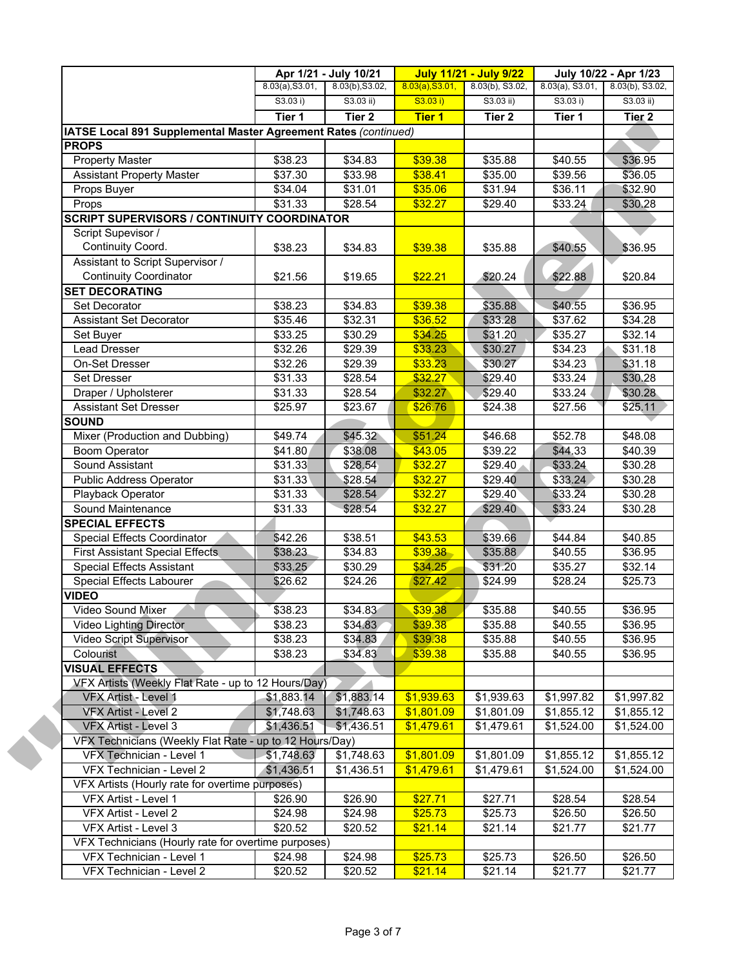|                                                                 | 8.03(a), S3.01, | 8.03(b), S3.02,   | 8.03(a), S3.01, | 8.03(b), S3.02, | $8.03(a)$ , S3.01, | 8.03(b), S3.02,   |
|-----------------------------------------------------------------|-----------------|-------------------|-----------------|-----------------|--------------------|-------------------|
|                                                                 | S3.03 i)        | $S3.03$ ii)       | S3.03 i)        | $S3.03$ ii)     | S3.03 i)           | S3.03 ii)         |
|                                                                 | Tier 1          | Tier <sub>2</sub> | <b>Tier 1</b>   | Tier 2          | Tier 1             | Tier <sub>2</sub> |
| IATSE Local 891 Supplemental Master Agreement Rates (continued) |                 |                   |                 |                 |                    |                   |
| <b>PROPS</b>                                                    |                 |                   |                 |                 |                    |                   |
| <b>Property Master</b>                                          | \$38.23         | \$34.83           | \$39.38         | \$35.88         | \$40.55            | \$36.95           |
| <b>Assistant Property Master</b>                                | \$37.30         | \$33.98           | \$38.41         | \$35.00         | \$39.56            | \$36.05           |
| Props Buyer                                                     | \$34.04         | \$31.01           | \$35.06         | \$31.94         | \$36.11            | \$32.90           |
| Props                                                           | \$31.33         | \$28.54           | \$32.27         | \$29.40         | \$33.24            | \$30.28           |
| <b>SCRIPT SUPERVISORS / CONTINUITY COORDINATOR</b>              |                 |                   |                 |                 |                    |                   |
| Script Supevisor /                                              |                 |                   |                 |                 |                    |                   |
| Continuity Coord.                                               | \$38.23         | \$34.83           | \$39.38         | \$35.88         | \$40.55            | \$36.95           |
| Assistant to Script Supervisor /                                |                 |                   |                 |                 |                    |                   |
| <b>Continuity Coordinator</b>                                   | \$21.56         | \$19.65           | \$22.21         | \$20.24         | \$22.88            | \$20.84           |
| <b>SET DECORATING</b>                                           |                 |                   |                 |                 |                    |                   |
| Set Decorator                                                   | \$38.23         | \$34.83           | \$39.38         | \$35.88         | \$40.55            | \$36.95           |
| <b>Assistant Set Decorator</b>                                  | \$35.46         | \$32.31           | \$36.52         | \$33.28         | \$37.62            | \$34.28           |
| Set Buyer                                                       | \$33.25         | \$30.29           | \$34.25         | \$31.20         | \$35.27            | \$32.14           |
| Lead Dresser                                                    | \$32.26         | \$29.39           | \$33.23         | \$30.27         | \$34.23            | \$31.18           |
| On-Set Dresser                                                  | \$32.26         | \$29.39           | \$33.23         | \$30.27         | \$34.23            | \$31.18           |
| <b>Set Dresser</b>                                              | \$31.33         | \$28.54           | \$32.27         | \$29.40         | \$33.24            | \$30.28           |
| Draper / Upholsterer                                            | \$31.33         | \$28.54           | \$32.27         | \$29.40         | \$33.24            | \$30.28           |
| Assistant Set Dresser                                           | \$25.97         | \$23.67           | \$26.76         | \$24.38         | \$27.56            | \$25.11           |
| <b>SOUND</b>                                                    |                 |                   |                 |                 |                    |                   |
| Mixer (Production and Dubbing)                                  | \$49.74         | \$45.32           | \$51.24         | \$46.68         | \$52.78            | \$48.08           |
| <b>Boom Operator</b>                                            | \$41.80         | \$38.08           | \$43.05         | \$39.22         | \$44.33            | \$40.39           |
| Sound Assistant                                                 | \$31.33         | \$28.54           | \$32.27         | \$29.40         | \$33.24            | \$30.28           |
| <b>Public Address Operator</b>                                  | \$31.33         | \$28.54           | \$32.27         | \$29.40         | $\sqrt{$33.24}$    | \$30.28           |
| Playback Operator                                               | \$31.33         | \$28.54           | \$32.27         | \$29.40         | \$33.24            | \$30.28           |
| Sound Maintenance                                               | \$31.33         | \$28.54           | \$32.27         | \$29.40         | \$33.24            | \$30.28           |
| <b>SPECIAL EFFECTS</b>                                          |                 |                   |                 |                 |                    |                   |
| Special Effects Coordinator                                     | \$42.26         | \$38.51           | \$43.53         | \$39.66         | \$44.84            | \$40.85           |
| <b>First Assistant Special Effects</b>                          | \$38.23         | \$34.83           | \$39.38         | \$35.88         | \$40.55            | \$36.95           |
| <b>Special Effects Assistant</b>                                | \$33.25         | \$30.29           | \$34.25         | \$31.20         | \$35.27            | \$32.14           |
| Special Effects Labourer                                        | \$26.62         | \$24.26           | \$27.42         | \$24.99         | \$28.24            | \$25.73           |
| <b>VIDEO</b>                                                    |                 |                   |                 |                 |                    |                   |
| Video Sound Mixer                                               | \$38.23         | \$34.83           | \$39.38         | \$35.88         | \$40.55            | \$36.95           |
| <b>Video Lighting Director</b>                                  | \$38.23         | \$34.83           | \$39.38         | \$35.88         | \$40.55            | \$36.95           |
| Video Script Supervisor                                         | \$38.23         | \$34.83           | \$39.38         | \$35.88         | \$40.55            | \$36.95           |
| Colourist                                                       | \$38.23         | \$34.83           | \$39.38         | \$35.88         | \$40.55            | \$36.95           |
| <b>VISUAL EFFECTS</b>                                           |                 |                   |                 |                 |                    |                   |
| VFX Artists (Weekly Flat Rate - up to 12 Hours/Day)             |                 |                   |                 |                 |                    |                   |
| VFX Artist - Level 1                                            | \$1,883.14      | \$1,883.14        | \$1,939.63      | \$1,939.63      | \$1,997.82         | \$1,997.82        |
| VFX Artist - Level 2                                            | \$1,748.63      | \$1,748.63        | \$1,801.09      | \$1,801.09      | \$1,855.12         | \$1,855.12        |
| VFX Artist - Level 3                                            | \$1,436.51      | \$1,436.51        | \$1,479.61      | \$1,479.61      | \$1,524.00         | \$1,524.00        |
| VFX Technicians (Weekly Flat Rate - up to 12 Hours/Day)         |                 |                   |                 |                 |                    |                   |
| VFX Technician - Level 1                                        | \$1,748.63      | \$1,748.63        | \$1,801.09      | \$1,801.09      | \$1,855.12         | \$1,855.12        |
| VFX Technician - Level 2                                        | \$1,436.51      | \$1,436.51        | \$1,479.61      | \$1,479.61      | \$1,524.00         | \$1,524.00        |
| VFX Artists (Hourly rate for overtime purposes)                 |                 |                   |                 |                 |                    |                   |
| VFX Artist - Level 1                                            | \$26.90         | \$26.90           | \$27.71         | \$27.71         | \$28.54            | \$28.54           |
| VFX Artist - Level 2                                            | \$24.98         | \$24.98           | \$25.73         | \$25.73         | \$26.50            | \$26.50           |
| VFX Artist - Level 3                                            | \$20.52         | \$20.52           | \$21.14         | \$21.14         | \$21.77            | \$21.77           |
| VFX Technicians (Hourly rate for overtime purposes)             |                 |                   |                 |                 |                    |                   |
| VFX Technician - Level 1                                        | \$24.98         | \$24.98           | \$25.73         | \$25.73         | \$26.50            | \$26.50           |
| VFX Technician - Level 2                                        | \$20.52         | \$20.52           | \$21.14         | \$21.14         | \$21.77            | \$21.77           |